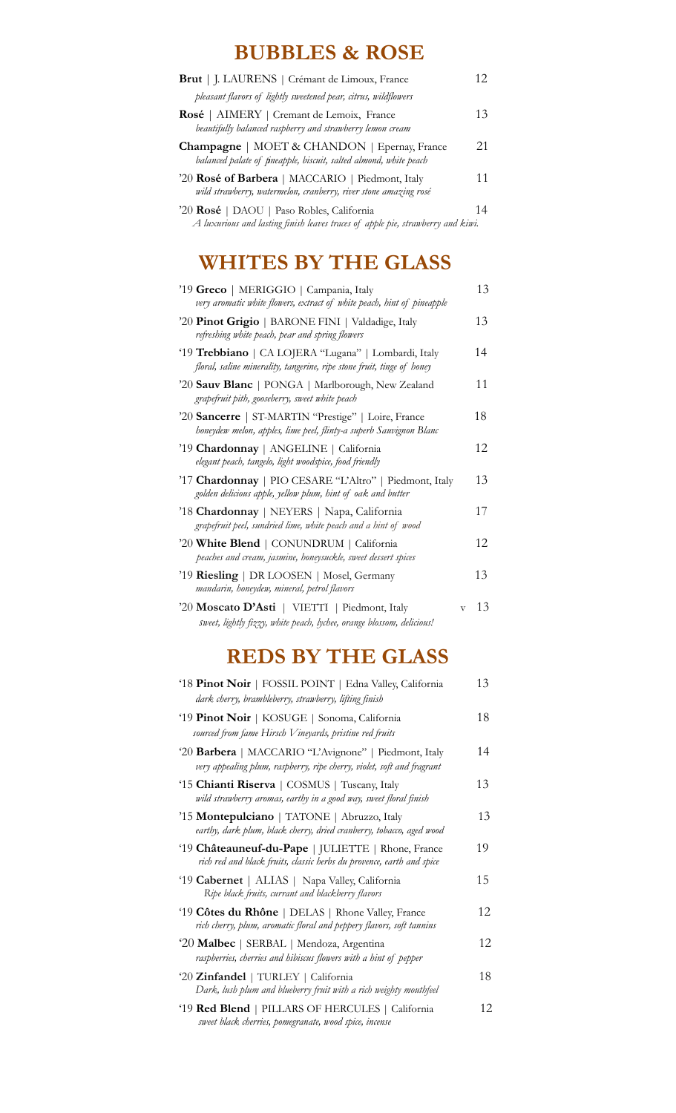# **BUBBLES & ROSE**

| Brut   J. LAURENS   Crémant de Limoux, France                                                                                    | 12 |
|----------------------------------------------------------------------------------------------------------------------------------|----|
| pleasant flavors of lightly sweetened pear, citrus, wildflowers                                                                  |    |
| Rosé   AIMERY   Cremant de Lemoix, France<br>beautifully balanced raspberry and strawberry lemon cream                           | 13 |
| <b>Champagne</b>   MOET & CHANDON   Epernay, France<br>balanced palate of <i>tineapple</i> , biscuit, salted almond, white peach | 21 |
| '20 Rosé of Barbera   MACCARIO   Piedmont, Italy<br>wild strawberry, watermelon, cranberry, river stone amazing rosé             | 11 |
| '20 Rosé   DAOU   Paso Robles, California<br>A luxurious and lasting finish leaves traces of apple pie, strawberry and kiwi.     | 14 |

# **WHITES BY THE GLASS**

| '19 Greco   MERIGGIO   Campania, Italy<br>very aromatic white flowers, extract of white peach, hint of pineapple               |              | 13 |
|--------------------------------------------------------------------------------------------------------------------------------|--------------|----|
| '20 Pinot Grigio   BARONE FINI   Valdadige, Italy<br>refreshing white peach, pear and spring flowers                           |              | 13 |
| '19 Trebbiano   CA LOJERA "Lugana"   Lombardi, Italy<br>floral, saline minerality, tangerine, ripe stone fruit, tinge of honey |              | 14 |
| '20 Sauv Blanc   PONGA   Marlborough, New Zealand<br>grapefruit pith, gooseberry, sweet white peach                            |              | 11 |
| '20 Sancerre   ST-MARTIN "Prestige"   Loire, France<br>honeydew melon, apples, lime peel, flinty-a superb Sauvignon Blanc      |              | 18 |
| '19 Chardonnay   ANGELINE   California<br>elegant peach, tangelo, light woodspice, food friendly                               |              | 12 |
| '17 Chardonnay   PIO CESARE "L'Altro"   Piedmont, Italy<br>golden delicious apple, yellow plum, hint of oak and butter         |              | 13 |
| '18 Chardonnay   NEYERS   Napa, California<br>grapefruit peel, sundried lime, white peach and a hint of wood                   |              | 17 |
| '20 White Blend   CONUNDRUM   California<br>peaches and cream, jasmine, honeysuckle, sweet dessert spices                      |              | 12 |
| '19 Riesling   DR LOOSEN   Mosel, Germany<br>mandarin, honeydew, mineral, petrol flavors                                       |              | 13 |
| '20 Moscato D'Asti   VIETTI   Piedmont, Italy<br>sweet, lightly fizzy, white peach, lychee, orange blossom, delicious!         | $\mathbf{V}$ | 13 |

# **REDS BY THE GLASS**

| '18 Pinot Noir   FOSSIL POINT   Edna Valley, California<br>dark cherry, brambleberry, strawberry, lifting finish                | 13  |
|---------------------------------------------------------------------------------------------------------------------------------|-----|
| '19 Pinot Noir   KOSUGE   Sonoma, California<br>sourced from fame Hirsch Vineyards, pristine red fruits                         | 18  |
| '20 Barbera   MACCARIO "L'Avignone"   Piedmont, Italy<br>very appealing plum, raspberry, ripe cherry, violet, soft and fragrant | 14  |
| '15 Chianti Riserva   COSMUS   Tuscany, Italy<br>wild strawberry aromas, earthy in a good way, sweet floral finish              | 13  |
| '15 Montepulciano   TATONE   Abruzzo, Italy<br>earthy, dark plum, black cherry, dried cranberry, tobacco, aged wood             | 13  |
| '19 Châteauneuf-du-Pape   JULIETTE   Rhone, France<br>rich red and black fruits, classic herbs du provence, earth and spice     | 19  |
| '19 Cabernet   ALIAS   Napa Valley, California<br>Ripe black fruits, currant and blackberry flavors                             | 15  |
| '19 Côtes du Rhône   DELAS   Rhone Valley, France<br>rich cherry, plum, aromatic floral and peppery flavors, soft tannins       | 12  |
| '20 Malbec   SERBAL   Mendoza, Argentina<br>raspberries, cherries and hibiscus flowers with a hint of pepper                    | 12. |
| '20 Zinfandel   TURLEY   California<br>Dark, lush plum and blueberry fruit with a rich weighty mouthfeel                        | 18  |
| '19 Red Blend   PILLARS OF HERCULES   California<br>sweet black cherries, pomegranate, wood spice, incense                      | 12. |